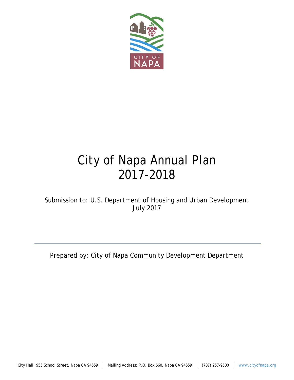

# City of Napa Annual Plan 2017-2018

Submission to: U.S. Department of Housing and Urban Development July 2017

Prepared by: City of Napa Community Development Department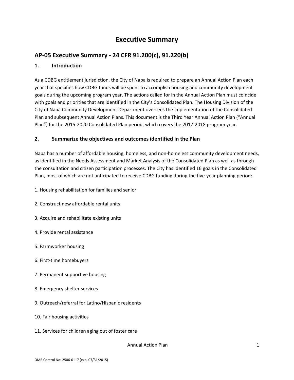## **Executive Summary**

### **AP‐05 Executive Summary ‐ 24 CFR 91.200(c), 91.220(b)**

### **1. Introduction**

As a CDBG entitlement jurisdiction, the City of Napa is required to prepare an Annual Action Plan each year that specifies how CDBG funds will be spent to accomplish housing and community development goals during the upcoming program year. The actions called for in the Annual Action Plan must coincide with goals and priorities that are identified in the City's Consolidated Plan. The Housing Division of the City of Napa Community Development Department oversees the implementation of the Consolidated Plan and subsequent Annual Action Plans. This document is the Third Year Annual Action Plan ("Annual Plan") for the 2015‐2020 Consolidated Plan period, which covers the 2017‐2018 program year.

#### **2. Summarize the objectives and outcomes identified in the Plan**

Napa has a number of affordable housing, homeless, and non‐homeless community development needs, as identified in the Needs Assessment and Market Analysis of the Consolidated Plan as well as through the consultation and citizen participation processes. The City has identified 16 goals in the Consolidated Plan, most of which are not anticipated to receive CDBG funding during the five‐year planning period:

- 1. Housing rehabilitation for families and senior
- 2. Construct new affordable rental units
- 3. Acquire and rehabilitate existing units
- 4. Provide rental assistance
- 5. Farmworker housing
- 6. First‐time homebuyers
- 7. Permanent supportive housing
- 8. Emergency shelter services
- 9. Outreach/referral for Latino/Hispanic residents
- 10. Fair housing activities
- 11. Services for children aging out of foster care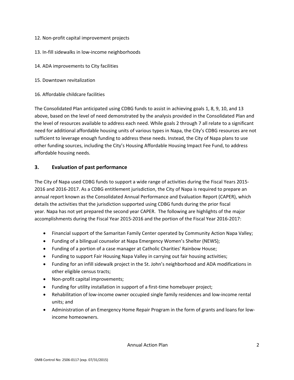- 12. Non‐profit capital improvement projects
- 13. In‐fill sidewalks in low‐income neighborhoods
- 14. ADA improvements to City facilities
- 15. Downtown revitalization
- 16. Affordable childcare facilities

The Consolidated Plan anticipated using CDBG funds to assist in achieving goals 1, 8, 9, 10, and 13 above, based on the level of need demonstrated by the analysis provided in the Consolidated Plan and the level of resources available to address each need. While goals 2 through 7 all relate to a significant need for additional affordable housing units of various types in Napa, the City's CDBG resources are not sufficient to leverage enough funding to address these needs. Instead, the City of Napa plans to use other funding sources, including the City's Housing Affordable Housing Impact Fee Fund, to address affordable housing needs.

#### **3. Evaluation of past performance**

The City of Napa used CDBG funds to support a wide range of activities during the Fiscal Years 2015‐ 2016 and 2016‐2017. As a CDBG entitlement jurisdiction, the City of Napa is required to prepare an annual report known as the Consolidated Annual Performance and Evaluation Report (CAPER), which details the activities that the jurisdiction supported using CDBG funds during the prior fiscal year. Napa has not yet prepared the second year CAPER. The following are highlights of the major accomplishments during the Fiscal Year 2015‐2016 and the portion of the Fiscal Year 2016‐2017:

- Financial support of the Samaritan Family Center operated by Community Action Napa Valley;
- Funding of a bilingual counselor at Napa Emergency Women's Shelter (NEWS);
- Funding of a portion of a case manager at Catholic Charities' Rainbow House;
- Funding to support Fair Housing Napa Valley in carrying out fair housing activities;
- Funding for an infill sidewalk project in the St. John's neighborhood and ADA modifications in other eligible census tracts;
- Non-profit capital improvements;
- Funding for utility installation in support of a first-time homebuyer project;
- Rehabilitation of low-income owner occupied single family residences and low-income rental units; and
- Administration of an Emergency Home Repair Program in the form of grants and loans for lowincome homeowners.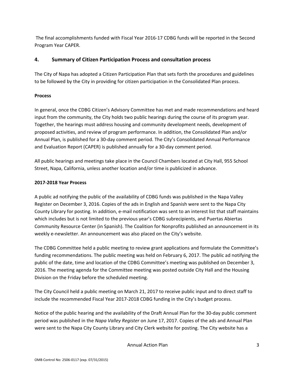The final accomplishments funded with Fiscal Year 2016‐17 CDBG funds will be reported in the Second Program Year CAPER.

### **4. Summary of Citizen Participation Process and consultation process**

The City of Napa has adopted a Citizen Participation Plan that sets forth the procedures and guidelines to be followed by the City in providing for citizen participation in the Consolidated Plan process.

### **Process**

In general, once the CDBG Citizen's Advisory Committee has met and made recommendations and heard input from the community, the City holds two public hearings during the course of its program year. Together, the hearings must address housing and community development needs, development of proposed activities, and review of program performance. In addition, the Consolidated Plan and/or Annual Plan, is published for a 30‐day comment period. The City's Consolidated Annual Performance and Evaluation Report (CAPER) is published annually for a 30‐day comment period.

All public hearings and meetings take place in the Council Chambers located at City Hall, 955 School Street, Napa, California, unless another location and/or time is publicized in advance.

### **2017‐2018 Year Process**

A public ad notifying the public of the availability of CDBG funds was published in the Napa Valley Register on December 3, 2016. Copies of the ads in English and Spanish were sent to the Napa City County Library for posting. In addition, e‐mail notification was sent to an interest list that staff maintains which includes but is not limited to the previous year's CDBG subrecipients, and Puertas Abiertas Community Resource Center (in Spanish). The Coalition for Nonprofits published an announcement in its weekly e-newsletter. An announcement was also placed on the City's website.

The CDBG Committee held a public meeting to review grant applications and formulate the Committee's funding recommendations. The public meeting was held on February 6, 2017. The public ad notifying the public of the date, time and location of the CDBG Committee's meeting was published on December 3, 2016. The meeting agenda for the Committee meeting was posted outside City Hall and the Housing Division on the Friday before the scheduled meeting.

The City Council held a public meeting on March 21, 2017 to receive public input and to direct staff to include the recommended Fiscal Year 2017‐2018 CDBG funding in the City's budget process.

Notice of the public hearing and the availability of the Draft Annual Plan for the 30‐day public comment period was published in the *Napa Valley Register* on June 17, 2017. Copies of the ads and Annual Plan were sent to the Napa City County Library and City Clerk website for posting. The City website has a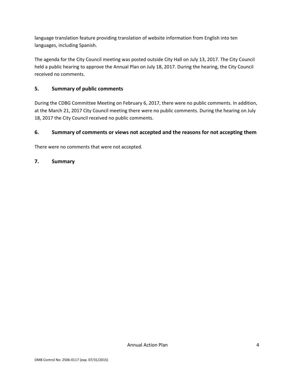language translation feature providing translation of website information from English into ten languages, including Spanish.

The agenda for the City Council meeting was posted outside City Hall on July 13, 2017. The City Council held a public hearing to approve the Annual Plan on July 18, 2017. During the hearing, the City Council received no comments.

### **5. Summary of public comments**

During the CDBG Committee Meeting on February 6, 2017, there were no public comments. In addition, at the March 21, 2017 City Council meeting there were no public comments. During the hearing on July 18, 2017 the City Council received no public comments.

### **6. Summary of comments or views not accepted and the reasons for not accepting them**

There were no comments that were not accepted.

### **7. Summary**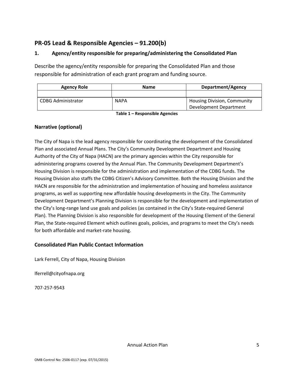### **PR‐05 Lead & Responsible Agencies – 91.200(b)**

### **1. Agency/entity responsible for preparing/administering the Consolidated Plan**

Describe the agency/entity responsible for preparing the Consolidated Plan and those responsible for administration of each grant program and funding source.

| <b>Agency Role</b>        | <b>Name</b> | Department/Agency                  |
|---------------------------|-------------|------------------------------------|
|                           |             |                                    |
| <b>CDBG Administrator</b> | <b>NAPA</b> | <b>Housing Division, Community</b> |
|                           |             | Development Department             |

**Table 1 – Responsible Agencies** 

### **Narrative (optional)**

The City of Napa is the lead agency responsible for coordinating the development of the Consolidated Plan and associated Annual Plans. The City's Community Development Department and Housing Authority of the City of Napa (HACN) are the primary agencies within the City responsible for administering programs covered by the Annual Plan. The Community Development Department's Housing Division is responsible for the administration and implementation of the CDBG funds. The Housing Division also staffs the CDBG Citizen's Advisory Committee. Both the Housing Division and the HACN are responsible for the administration and implementation of housing and homeless assistance programs, as well as supporting new affordable housing developments in the City. The Community Development Department's Planning Division is responsible for the development and implementation of the City's long-range land use goals and policies (as contained in the City's State-required General Plan). The Planning Division is also responsible for development of the Housing Element of the General Plan, the State‐required Element which outlines goals, policies, and programs to meet the City's needs for both affordable and market-rate housing.

### **Consolidated Plan Public Contact Information**

Lark Ferrell, City of Napa, Housing Division

lferrell@cityofnapa.org

707‐257‐9543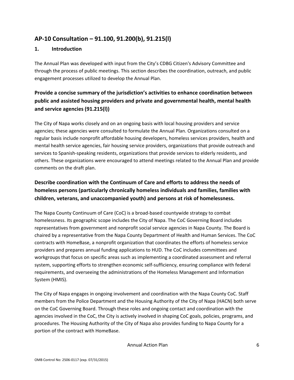### **AP‐10 Consultation – 91.100, 91.200(b), 91.215(l)**

#### **1. Introduction**

The Annual Plan was developed with input from the City's CDBG Citizen's Advisory Committee and through the process of public meetings. This section describes the coordination, outreach, and public engagement processes utilized to develop the Annual Plan.

### **Provide a concise summary of the jurisdiction's activities to enhance coordination between public and assisted housing providers and private and governmental health, mental health and service agencies (91.215(l))**

The City of Napa works closely and on an ongoing basis with local housing providers and service agencies; these agencies were consulted to formulate the Annual Plan. Organizations consulted on a regular basis include nonprofit affordable housing developers, homeless services providers, health and mental health service agencies, fair housing service providers, organizations that provide outreach and services to Spanish-speaking residents, organizations that provide services to elderly residents, and others. These organizations were encouraged to attend meetings related to the Annual Plan and provide comments on the draft plan.

### **Describe coordination with the Continuum of Care and efforts to address the needs of homeless persons (particularly chronically homeless individuals and families, families with children, veterans, and unaccompanied youth) and persons at risk of homelessness.**

The Napa County Continuum of Care (CoC) is a broad‐based countywide strategy to combat homelessness. Its geographic scope includes the City of Napa. The CoC Governing Board includes representatives from government and nonprofit social service agencies in Napa County. The Board is chaired by a representative from the Napa County Department of Health and Human Services. The CoC contracts with HomeBase, a nonprofit organization that coordinates the efforts of homeless service providers and prepares annual funding applications to HUD. The CoC includes committees and workgroups that focus on specific areas such as implementing a coordinated assessment and referral system, supporting efforts to strengthen economic self-sufficiency, ensuring compliance with federal requirements, and overseeing the administrations of the Homeless Management and Information System (HMIS).

The City of Napa engages in ongoing involvement and coordination with the Napa County CoC. Staff members from the Police Department and the Housing Authority of the City of Napa (HACN) both serve on the CoC Governing Board. Through these roles and ongoing contact and coordination with the agencies involved in the CoC, the City is actively involved in shaping CoC goals, policies, programs, and procedures. The Housing Authority of the City of Napa also provides funding to Napa County for a portion of the contract with HomeBase.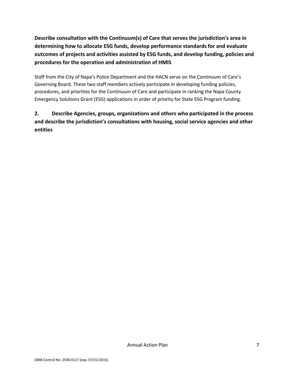**Describe consultation with the Continuum(s) of Care that serves the jurisdiction's area in determining how to allocate ESG funds, develop performance standards for and evaluate outcomes of projects and activities assisted by ESG funds, and develop funding, policies and procedures for the operation and administration of HMIS** 

Staff from the City of Napa's Police Department and the HACN serve on the Continuum of Care's Governing Board. These two staff members actively participate in developing funding policies, procedures, and priorities for the Continuum of Care and participate in ranking the Napa County Emergency Solutions Grant (ESG) applications in order of priority for State ESG Program funding.

### **2. Describe Agencies, groups, organizations and others who participated in the process and describe the jurisdiction's consultations with housing, social service agencies and other entities**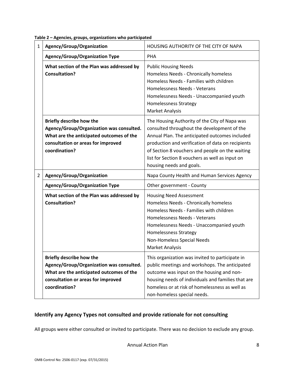|  | Table 2 - Agencies, groups, organizations who participated |
|--|------------------------------------------------------------|
|--|------------------------------------------------------------|

| 1 | Agency/Group/Organization                                                                                                                                                      | HOUSING AUTHORITY OF THE CITY OF NAPA                                                                                                                                                                                                                                                                                                 |
|---|--------------------------------------------------------------------------------------------------------------------------------------------------------------------------------|---------------------------------------------------------------------------------------------------------------------------------------------------------------------------------------------------------------------------------------------------------------------------------------------------------------------------------------|
|   | <b>Agency/Group/Organization Type</b>                                                                                                                                          | PHA                                                                                                                                                                                                                                                                                                                                   |
|   | What section of the Plan was addressed by<br><b>Consultation?</b>                                                                                                              | <b>Public Housing Needs</b><br>Homeless Needs - Chronically homeless<br>Homeless Needs - Families with children<br>Homelessness Needs - Veterans<br>Homelessness Needs - Unaccompanied youth<br><b>Homelessness Strategy</b><br><b>Market Analysis</b>                                                                                |
|   | <b>Briefly describe how the</b><br>Agency/Group/Organization was consulted.<br>What are the anticipated outcomes of the<br>consultation or areas for improved<br>coordination? | The Housing Authority of the City of Napa was<br>consulted throughout the development of the<br>Annual Plan. The anticipated outcomes included<br>production and verification of data on recipients<br>of Section 8 vouchers and people on the waiting<br>list for Section 8 vouchers as well as input on<br>housing needs and goals. |
| 2 | Agency/Group/Organization                                                                                                                                                      | Napa County Health and Human Services Agency                                                                                                                                                                                                                                                                                          |
|   | <b>Agency/Group/Organization Type</b>                                                                                                                                          | Other government - County                                                                                                                                                                                                                                                                                                             |
|   | What section of the Plan was addressed by<br><b>Consultation?</b>                                                                                                              | <b>Housing Need Assessment</b><br>Homeless Needs - Chronically homeless<br>Homeless Needs - Families with children<br>Homelessness Needs - Veterans<br>Homelessness Needs - Unaccompanied youth<br><b>Homelessness Strategy</b><br>Non-Homeless Special Needs<br><b>Market Analysis</b>                                               |
|   | Briefly describe how the<br>Agency/Group/Organization was consulted.<br>What are the anticipated outcomes of the<br>consultation or areas for improved<br>coordination?        | This organization was invited to participate in<br>public meetings and workshops. The anticipated<br>outcome was input on the housing and non-<br>housing needs of individuals and families that are<br>homeless or at risk of homelessness as well as<br>non-homeless special needs.                                                 |

### **Identify any Agency Types not consulted and provide rationale for not consulting**

All groups were either consulted or invited to participate. There was no decision to exclude any group.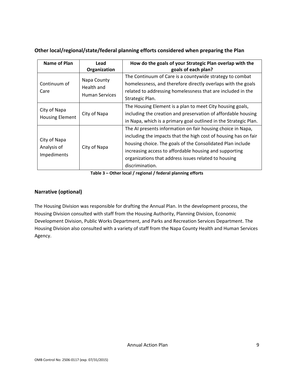### **Other local/regional/state/federal planning efforts considered when preparing the Plan**

| Name of Plan                               | Lead<br>Organization                               | How do the goals of your Strategic Plan overlap with the<br>goals of each plan?                                                                                                                                                                                                                                                   |
|--------------------------------------------|----------------------------------------------------|-----------------------------------------------------------------------------------------------------------------------------------------------------------------------------------------------------------------------------------------------------------------------------------------------------------------------------------|
| Continuum of<br>Care                       | Napa County<br>Health and<br><b>Human Services</b> | The Continuum of Care is a countywide strategy to combat<br>homelessness, and therefore directly overlaps with the goals<br>related to addressing homelessness that are included in the<br>Strategic Plan.                                                                                                                        |
| City of Napa<br><b>Housing Element</b>     | City of Napa                                       | The Housing Element is a plan to meet City housing goals,<br>including the creation and preservation of affordable housing<br>in Napa, which is a primary goal outlined in the Strategic Plan.                                                                                                                                    |
| City of Napa<br>Analysis of<br>Impediments | City of Napa                                       | The AI presents information on fair housing choice in Napa,<br>including the impacts that the high cost of housing has on fair<br>housing choice. The goals of the Consolidated Plan include<br>increasing access to affordable housing and supporting<br>organizations that address issues related to housing<br>discrimination. |

**Table 3 – Other local / regional / federal planning efforts** 

### **Narrative (optional)**

The Housing Division was responsible for drafting the Annual Plan. In the development process, the Housing Division consulted with staff from the Housing Authority, Planning Division, Economic Development Division, Public Works Department, and Parks and Recreation Services Department. The Housing Division also consulted with a variety of staff from the Napa County Health and Human Services Agency.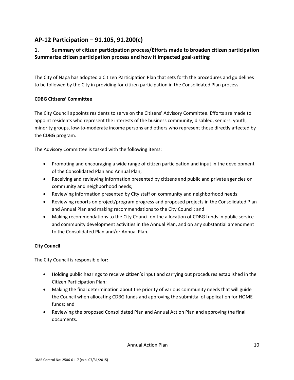### **AP‐12 Participation – 91.105, 91.200(c)**

### **1. Summary of citizen participation process/Efforts made to broaden citizen participation Summarize citizen participation process and how it impacted goal‐setting**

The City of Napa has adopted a Citizen Participation Plan that sets forth the procedures and guidelines to be followed by the City in providing for citizen participation in the Consolidated Plan process.

#### **CDBG Citizens' Committee**

The City Council appoints residents to serve on the Citizens' Advisory Committee. Efforts are made to appoint residents who represent the interests of the business community, disabled, seniors, youth, minority groups, low‐to‐moderate income persons and others who represent those directly affected by the CDBG program.

The Advisory Committee is tasked with the following items:

- Promoting and encouraging a wide range of citizen participation and input in the development of the Consolidated Plan and Annual Plan;
- Receiving and reviewing information presented by citizens and public and private agencies on community and neighborhood needs;
- Reviewing information presented by City staff on community and neighborhood needs;
- Reviewing reports on project/program progress and proposed projects in the Consolidated Plan and Annual Plan and making recommendations to the City Council; and
- Making recommendations to the City Council on the allocation of CDBG funds in public service and community development activities in the Annual Plan, and on any substantial amendment to the Consolidated Plan and/or Annual Plan.

#### **City Council**

The City Council is responsible for:

- Holding public hearings to receive citizen's input and carrying out procedures established in the Citizen Participation Plan;
- Making the final determination about the priority of various community needs that will guide the Council when allocating CDBG funds and approving the submittal of application for HOME funds; and
- Reviewing the proposed Consolidated Plan and Annual Action Plan and approving the final documents.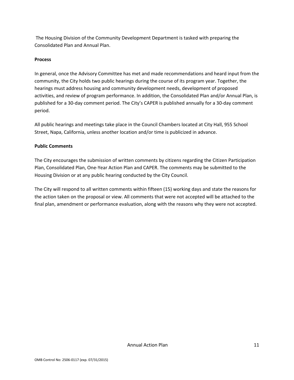The Housing Division of the Community Development Department is tasked with preparing the Consolidated Plan and Annual Plan.

#### **Process**

In general, once the Advisory Committee has met and made recommendations and heard input from the community, the City holds two public hearings during the course of its program year. Together, the hearings must address housing and community development needs, development of proposed activities, and review of program performance. In addition, the Consolidated Plan and/or Annual Plan, is published for a 30‐day comment period. The City's CAPER is published annually for a 30‐day comment period.

All public hearings and meetings take place in the Council Chambers located at City Hall, 955 School Street, Napa, California, unless another location and/or time is publicized in advance.

#### **Public Comments**

The City encourages the submission of written comments by citizens regarding the Citizen Participation Plan, Consolidated Plan, One‐Year Action Plan and CAPER. The comments may be submitted to the Housing Division or at any public hearing conducted by the City Council.

The City will respond to all written comments within fifteen (15) working days and state the reasons for the action taken on the proposal or view. All comments that were not accepted will be attached to the final plan, amendment or performance evaluation, along with the reasons why they were not accepted.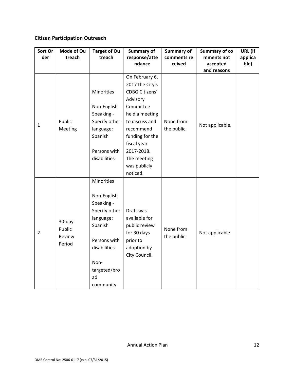### **Citizen Participation Outreach**

| Sort Or        | Mode of Ou       | <b>Target of Ou</b> | <b>Summary of</b>     | Summary of  | <b>Summary of co</b> | URL (If |
|----------------|------------------|---------------------|-----------------------|-------------|----------------------|---------|
| der            | treach           | treach              | response/atte         | comments re | mments not           | applica |
|                |                  |                     | ndance                | ceived      | accepted             | ble)    |
|                |                  |                     |                       |             | and reasons          |         |
|                |                  |                     | On February 6,        |             |                      |         |
|                |                  |                     | 2017 the City's       |             |                      |         |
|                |                  | <b>Minorities</b>   | <b>CDBG Citizens'</b> |             |                      |         |
|                |                  |                     | Advisory              |             |                      |         |
|                |                  | Non-English         | Committee             |             |                      |         |
|                |                  | Speaking -          | held a meeting        |             |                      |         |
| $\mathbf{1}$   | Public           | Specify other       | to discuss and        | None from   | Not applicable.      |         |
|                | Meeting          | language:           | recommend             | the public. |                      |         |
|                |                  | Spanish             | funding for the       |             |                      |         |
|                |                  |                     | fiscal year           |             |                      |         |
|                |                  | Persons with        | 2017-2018.            |             |                      |         |
|                |                  | disabilities        | The meeting           |             |                      |         |
|                |                  |                     | was publicly          |             |                      |         |
|                |                  |                     | noticed.              |             |                      |         |
|                |                  | Minorities          |                       |             |                      |         |
|                |                  |                     |                       |             |                      |         |
|                |                  | Non-English         |                       |             |                      |         |
|                |                  | Speaking -          |                       |             |                      |         |
|                |                  | Specify other       | Draft was             |             |                      |         |
|                |                  | language:           | available for         |             |                      |         |
|                | 30-day<br>Public | Spanish             | public review         | None from   |                      |         |
| $\overline{2}$ |                  |                     | for 30 days           |             | Not applicable.      |         |
|                | Review           | Persons with        | prior to              | the public. |                      |         |
|                | Period           | disabilities        | adoption by           |             |                      |         |
|                |                  |                     | City Council.         |             |                      |         |
|                |                  | Non-                |                       |             |                      |         |
|                |                  | targeted/bro        |                       |             |                      |         |
|                |                  | ad                  |                       |             |                      |         |
|                |                  | community           |                       |             |                      |         |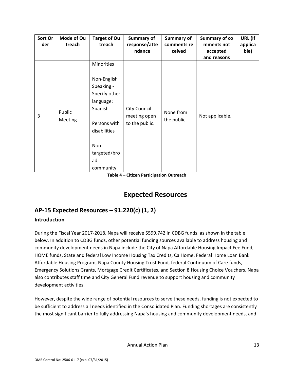| Sort Or<br>der | Mode of Ou<br>treach | <b>Target of Ou</b><br>treach                                                                                                                               | <b>Summary of</b><br>response/atte<br>ndance          | Summary of<br>comments re<br>ceived | <b>Summary of co</b><br>mments not<br>accepted<br>and reasons | URL (If<br>applica<br>ble) |
|----------------|----------------------|-------------------------------------------------------------------------------------------------------------------------------------------------------------|-------------------------------------------------------|-------------------------------------|---------------------------------------------------------------|----------------------------|
| 3              | Public<br>Meeting    | Minorities<br>Non-English<br>Speaking -<br>Specify other<br>language:<br>Spanish<br>Persons with<br>disabilities<br>Non-<br>targeted/bro<br>ad<br>community | <b>City Council</b><br>meeting open<br>to the public. | None from<br>the public.            | Not applicable.                                               |                            |

**Table 4 – Citizen Participation Outreach** 

### **Expected Resources**

### **AP‐15 Expected Resources – 91.220(c) (1, 2)**

### **Introduction**

During the Fiscal Year 2017‐2018, Napa will receive \$599,742 in CDBG funds, as shown in the table below. In addition to CDBG funds, other potential funding sources available to address housing and community development needs in Napa include the City of Napa Affordable Housing Impact Fee Fund, HOME funds, State and federal Low Income Housing Tax Credits, CalHome, Federal Home Loan Bank Affordable Housing Program, Napa County Housing Trust Fund, federal Continuum of Care funds, Emergency Solutions Grants, Mortgage Credit Certificates, and Section 8 Housing Choice Vouchers. Napa also contributes staff time and City General Fund revenue to support housing and community development activities.

However, despite the wide range of potential resources to serve these needs, funding is not expected to be sufficient to address all needs identified in the Consolidated Plan. Funding shortages are consistently the most significant barrier to fully addressing Napa's housing and community development needs, and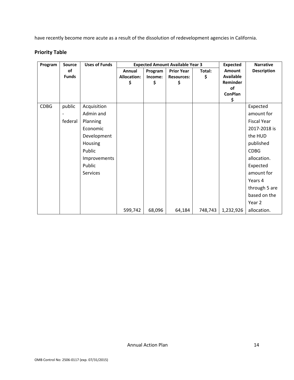have recently become more acute as a result of the dissolution of redevelopment agencies in California.

### **Priority Table**

| Program     | <b>Source</b> | <b>Uses of Funds</b> |                    | <b>Expected Amount Available Year 3</b> |                   | <b>Expected</b> | <b>Narrative</b>            |                    |
|-------------|---------------|----------------------|--------------------|-----------------------------------------|-------------------|-----------------|-----------------------------|--------------------|
|             | of            |                      | Annual             | Program                                 | <b>Prior Year</b> | Total:          | <b>Amount</b>               | <b>Description</b> |
|             | <b>Funds</b>  |                      | <b>Allocation:</b> | Income:                                 | <b>Resources:</b> | \$              | <b>Available</b>            |                    |
|             |               |                      | \$                 | \$                                      | \$                |                 | Reminder                    |                    |
|             |               |                      |                    |                                         |                   |                 | <b>of</b><br><b>ConPlan</b> |                    |
|             |               |                      |                    |                                         |                   |                 | \$                          |                    |
| <b>CDBG</b> | public        | Acquisition          |                    |                                         |                   |                 |                             | Expected           |
|             |               | Admin and            |                    |                                         |                   |                 |                             | amount for         |
|             | federal       | Planning             |                    |                                         |                   |                 |                             | <b>Fiscal Year</b> |
|             |               | Economic             |                    |                                         |                   |                 |                             | 2017-2018 is       |
|             |               | Development          |                    |                                         |                   |                 |                             | the HUD            |
|             |               | <b>Housing</b>       |                    |                                         |                   |                 |                             | published          |
|             |               | Public               |                    |                                         |                   |                 |                             | <b>CDBG</b>        |
|             |               | Improvements         |                    |                                         |                   |                 |                             | allocation.        |
|             |               | Public               |                    |                                         |                   |                 |                             | Expected           |
|             |               | Services             |                    |                                         |                   |                 |                             | amount for         |
|             |               |                      |                    |                                         |                   |                 |                             | Years 4            |
|             |               |                      |                    |                                         |                   |                 |                             | through 5 are      |
|             |               |                      |                    |                                         |                   |                 |                             | based on the       |
|             |               |                      |                    |                                         |                   |                 |                             | Year 2             |
|             |               |                      | 599,742            | 68,096                                  | 64,184            | 748,743         | 1,232,926                   | allocation.        |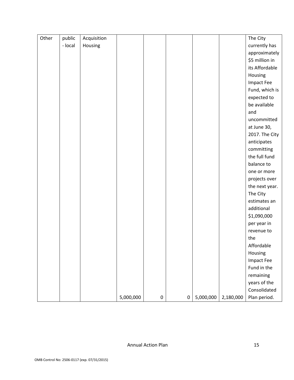| Other | public  | Acquisition |           |           |           |           |           | The City          |
|-------|---------|-------------|-----------|-----------|-----------|-----------|-----------|-------------------|
|       | - local | Housing     |           |           |           |           |           | currently has     |
|       |         |             |           |           |           |           |           | approximately     |
|       |         |             |           |           |           |           |           | \$5 million in    |
|       |         |             |           |           |           |           |           | its Affordable    |
|       |         |             |           |           |           |           |           | Housing           |
|       |         |             |           |           |           |           |           | <b>Impact Fee</b> |
|       |         |             |           |           |           |           |           | Fund, which is    |
|       |         |             |           |           |           |           |           | expected to       |
|       |         |             |           |           |           |           |           | be available      |
|       |         |             |           |           |           |           |           | and               |
|       |         |             |           |           |           |           |           | uncommitted       |
|       |         |             |           |           |           |           |           | at June 30,       |
|       |         |             |           |           |           |           |           | 2017. The City    |
|       |         |             |           |           |           |           |           | anticipates       |
|       |         |             |           |           |           |           |           | committing        |
|       |         |             |           |           |           |           |           | the full fund     |
|       |         |             |           |           |           |           |           | balance to        |
|       |         |             |           |           |           |           |           | one or more       |
|       |         |             |           |           |           |           |           | projects over     |
|       |         |             |           |           |           |           |           | the next year.    |
|       |         |             |           |           |           |           |           | The City          |
|       |         |             |           |           |           |           |           | estimates an      |
|       |         |             |           |           |           |           |           | additional        |
|       |         |             |           |           |           |           |           | \$1,090,000       |
|       |         |             |           |           |           |           |           | per year in       |
|       |         |             |           |           |           |           |           | revenue to        |
|       |         |             |           |           |           |           |           | the               |
|       |         |             |           |           |           |           |           | Affordable        |
|       |         |             |           |           |           |           |           | Housing           |
|       |         |             |           |           |           |           |           | <b>Impact Fee</b> |
|       |         |             |           |           |           |           |           | Fund in the       |
|       |         |             |           |           |           |           |           | remaining         |
|       |         |             |           |           |           |           |           | years of the      |
|       |         |             |           |           |           |           |           | Consolidated      |
|       |         |             | 5,000,000 | $\pmb{0}$ | $\pmb{0}$ | 5,000,000 | 2,180,000 | Plan period.      |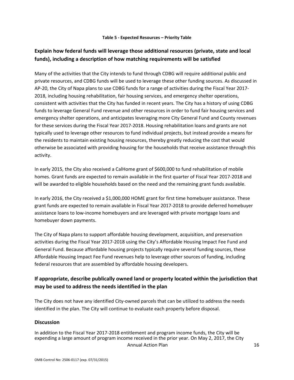### **Explain how federal funds will leverage those additional resources (private, state and local funds), including a description of how matching requirements will be satisfied**

Many of the activities that the City intends to fund through CDBG will require additional public and private resources, and CDBG funds will be used to leverage these other funding sources. As discussed in AP-20, the City of Napa plans to use CDBG funds for a range of activities during the Fiscal Year 2017-2018, including housing rehabilitation, fair housing services, and emergency shelter operations, consistent with activities that the City has funded in recent years. The City has a history of using CDBG funds to leverage General Fund revenue and other resources in order to fund fair housing services and emergency shelter operations, and anticipates leveraging more City General Fund and County revenues for these services during the Fiscal Year 2017-2018. Housing rehabilitation loans and grants are not typically used to leverage other resources to fund individual projects, but instead provide a means for the residents to maintain existing housing resources, thereby greatly reducing the cost that would otherwise be associated with providing housing for the households that receive assistance through this activity.

In early 2015, the City also received a CalHome grant of \$600,000 to fund rehabilitation of mobile homes. Grant funds are expected to remain available in the first quarter of Fiscal Year 2017-2018 and will be awarded to eligible households based on the need and the remaining grant funds available.

In early 2016, the City received a \$1,000,000 HOME grant for first time homebuyer assistance. These grant funds are expected to remain available in Fiscal Year 2017‐2018 to provide deferred homebuyer assistance loans to low‐income homebuyers and are leveraged with private mortgage loans and homebuyer down payments.

The City of Napa plans to support affordable housing development, acquisition, and preservation activities during the Fiscal Year 2017‐2018 using the City's Affordable Housing Impact Fee Fund and General Fund. Because affordable housing projects typically require several funding sources, these Affordable Housing Impact Fee Fund revenues help to leverage other sources of funding, including federal resources that are assembled by affordable housing developers.

### **If appropriate, describe publically owned land or property located within the jurisdiction that may be used to address the needs identified in the plan**

The City does not have any identified City-owned parcels that can be utilized to address the needs identified in the plan. The City will continue to evaluate each property before disposal.

#### **Discussion**

Annual Action Plan **16** In addition to the Fiscal Year 2017‐2018 entitlement and program income funds, the City will be expending a large amount of program income received in the prior year. On May 2, 2017, the City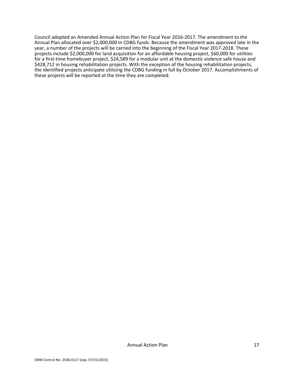Council adopted an Amended Annual Action Plan for Fiscal Year 2016‐2017. The amendment to the Annual Plan allocated over \$2,000,000 in CDBG funds. Because the amendment was approved late in the year, a number of the projects will be carried into the beginning of the Fiscal Year 2017‐2018. These projects include \$2,000,000 for land acquisition for an affordable housing project, \$60,000 for utilities for a first-time homebuyer project, \$24,589 for a modular unit at the domestic violence safe house and \$428,712 in housing rehabilitation projects. With the exception of the housing rehabilitation projects, the identified projects anticipate utilizing the CDBG funding in full by October 2017. Accomplishments of these projects will be reported at the time they are completed.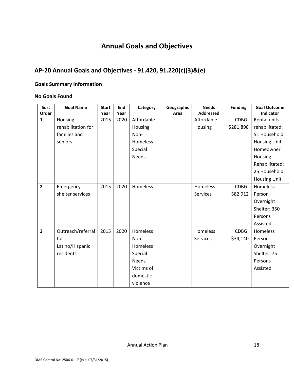# **Annual Goals and Objectives**

### **AP‐20 Annual Goals and Objectives ‐ 91.420, 91.220(c)(3)&(e)**

#### **Goals Summary Information**

#### **No Goals Found**

| Sort<br>Order           | <b>Goal Name</b>   | <b>Start</b><br>Year | End<br>Year | Category     | Geographic<br>Area | <b>Needs</b><br><b>Addressed</b> | <b>Funding</b> | <b>Goal Outcome</b><br>Indicator |
|-------------------------|--------------------|----------------------|-------------|--------------|--------------------|----------------------------------|----------------|----------------------------------|
| $\mathbf{1}$            | Housing            | 2015                 | 2020        | Affordable   |                    | Affordable                       | CDBG:          | Rental units                     |
|                         | rehabilitation for |                      |             | Housing      |                    | Housing                          | \$281,898      | rehabilitated:                   |
|                         | families and       |                      |             | Non-         |                    |                                  |                | 51 Household                     |
|                         | seniors            |                      |             | Homeless     |                    |                                  |                | <b>Housing Unit</b>              |
|                         |                    |                      |             | Special      |                    |                                  |                | Homeowner                        |
|                         |                    |                      |             | <b>Needs</b> |                    |                                  |                | Housing                          |
|                         |                    |                      |             |              |                    |                                  |                | Rehabilitated:                   |
|                         |                    |                      |             |              |                    |                                  |                | 25 Household                     |
|                         |                    |                      |             |              |                    |                                  |                | <b>Housing Unit</b>              |
| $\overline{2}$          | Emergency          | 2015                 | 2020        | Homeless     |                    | Homeless                         | CDBG:          | Homeless                         |
|                         | shelter services   |                      |             |              |                    | <b>Services</b>                  | \$82,912       | Person                           |
|                         |                    |                      |             |              |                    |                                  |                | Overnight                        |
|                         |                    |                      |             |              |                    |                                  |                | Shelter: 350                     |
|                         |                    |                      |             |              |                    |                                  |                | Persons                          |
|                         |                    |                      |             |              |                    |                                  |                | Assisted                         |
| $\overline{\mathbf{3}}$ | Outreach/referral  | 2015                 | 2020        | Homeless     |                    | Homeless                         | CDBG:          | Homeless                         |
|                         | for                |                      |             | Non-         |                    | <b>Services</b>                  | \$34,140       | Person                           |
|                         | Latino/Hispanic    |                      |             | Homeless     |                    |                                  |                | Overnight                        |
|                         | residents          |                      |             | Special      |                    |                                  |                | Shelter: 75                      |
|                         |                    |                      |             | <b>Needs</b> |                    |                                  |                | Persons                          |
|                         |                    |                      |             | Victims of   |                    |                                  |                | Assisted                         |
|                         |                    |                      |             | domestic     |                    |                                  |                |                                  |
|                         |                    |                      |             | violence     |                    |                                  |                |                                  |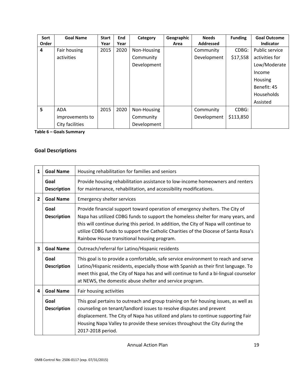| Sort<br>Order | <b>Goal Name</b> | <b>Start</b><br>Year | End<br>Year | Category    | Geographic<br>Area | <b>Needs</b><br><b>Addressed</b> | <b>Funding</b> | <b>Goal Outcome</b><br>Indicator |
|---------------|------------------|----------------------|-------------|-------------|--------------------|----------------------------------|----------------|----------------------------------|
| 4             | Fair housing     | 2015                 | 2020        | Non-Housing |                    | Community                        | CDBG:          | Public service                   |
|               | activities       |                      |             | Community   |                    | Development                      | \$17,558       | activities for                   |
|               |                  |                      |             | Development |                    |                                  |                | Low/Moderate                     |
|               |                  |                      |             |             |                    |                                  |                | Income                           |
|               |                  |                      |             |             |                    |                                  |                | Housing                          |
|               |                  |                      |             |             |                    |                                  |                | Benefit: 45                      |
|               |                  |                      |             |             |                    |                                  |                | Households                       |
|               |                  |                      |             |             |                    |                                  |                | Assisted                         |
| 5             | <b>ADA</b>       | 2015                 | 2020        | Non-Housing |                    | Community                        | CDBG:          |                                  |
|               | improvements to  |                      |             | Community   |                    | Development                      | \$113,850      |                                  |
|               | City facilities  |                      |             | Development |                    |                                  |                |                                  |

**Table 6 – Goals Summary** 

### **Goal Descriptions**

| $\mathbf{1}$   | <b>Goal Name</b>           | Housing rehabilitation for families and seniors                                                                                                                                                                                                                                                                                                                                                  |
|----------------|----------------------------|--------------------------------------------------------------------------------------------------------------------------------------------------------------------------------------------------------------------------------------------------------------------------------------------------------------------------------------------------------------------------------------------------|
|                | Goal<br><b>Description</b> | Provide housing rehabilitation assistance to low-income homeowners and renters<br>for maintenance, rehabilitation, and accessibility modifications.                                                                                                                                                                                                                                              |
| $\overline{2}$ | <b>Goal Name</b>           | <b>Emergency shelter services</b>                                                                                                                                                                                                                                                                                                                                                                |
|                | Goal<br><b>Description</b> | Provide financial support toward operation of emergency shelters. The City of<br>Napa has utilized CDBG funds to support the homeless shelter for many years, and<br>this will continue during this period. In addition, the City of Napa will continue to<br>utilize CDBG funds to support the Catholic Charities of the Diocese of Santa Rosa's<br>Rainbow House transitional housing program. |
| 3              | <b>Goal Name</b>           | Outreach/referral for Latino/Hispanic residents                                                                                                                                                                                                                                                                                                                                                  |
|                | Goal<br><b>Description</b> | This goal is to provide a comfortable, safe service environment to reach and serve<br>Latino/Hispanic residents, especially those with Spanish as their first language. To<br>meet this goal, the City of Napa has and will continue to fund a bi-lingual counselor<br>at NEWS, the domestic abuse shelter and service program.                                                                  |
| 4              | <b>Goal Name</b>           | Fair housing activities                                                                                                                                                                                                                                                                                                                                                                          |
|                | Goal<br><b>Description</b> | This goal pertains to outreach and group training on fair housing issues, as well as<br>counseling on tenant/landlord issues to resolve disputes and prevent<br>displacement. The City of Napa has utilized and plans to continue supporting Fair<br>Housing Napa Valley to provide these services throughout the City during the<br>2017-2018 period.                                           |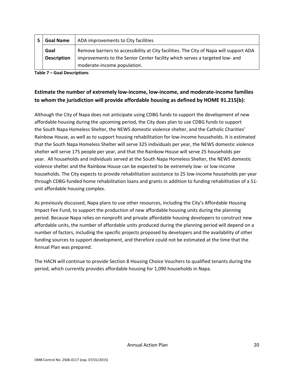| <b>Goal Name</b>   | ADA improvements to City facilities                                                    |
|--------------------|----------------------------------------------------------------------------------------|
| Goal               | Remove barriers to accessibility at City facilities. The City of Napa will support ADA |
| <b>Description</b> | improvements to the Senior Center facility which serves a targeted low- and            |
|                    | moderate-income population.                                                            |

**Table 7 – Goal Descriptions** 

### **Estimate the number of extremely low‐income, low‐income, and moderate‐income families to whom the jurisdiction will provide affordable housing as defined by HOME 91.215(b):**

Although the City of Napa does not anticipate using CDBG funds to support the development of new affordable housing during the upcoming period, the City does plan to use CDBG funds to support the South Napa Homeless Shelter, the NEWS domestic violence shelter, and the Catholic Charities' Rainbow House, as well as to support housing rehabilitation for low‐income households. It is estimated that the South Napa Homeless Shelter will serve 325 individuals per year, the NEWS domestic violence shelter will serve 175 people per year, and that the Rainbow House will serve 25 households per year. All households and individuals served at the South Napa Homeless Shelter, the NEWS domestic violence shelter and the Rainbow House can be expected to be extremely low‐ or low‐income households. The City expects to provide rehabilitation assistance to 25 low-income households per year through CDBG‐funded home rehabilitation loans and grants in addition to funding rehabilitation of a 51‐ unit affordable housing complex.

As previously discussed, Napa plans to use other resources, including the City's Affordable Housing Impact Fee Fund, to support the production of new affordable housing units during the planning period. Because Napa relies on nonprofit and private affordable housing developers to construct new affordable units, the number of affordable units produced during the planning period will depend on a number of factors, including the specific projects proposed by developers and the availability of other funding sources to support development, and therefore could not be estimated at the time that the Annual Plan was prepared.

The HACN will continue to provide Section 8 Housing Choice Vouchers to qualified tenants during the period, which currently provides affordable housing for 1,090 households in Napa.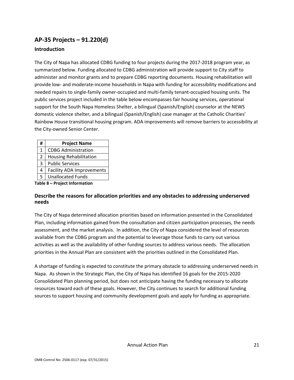### **AP‐35 Projects – 91.220(d)**

#### **Introduction**

The City of Napa has allocated CDBG funding to four projects during the 2017‐2018 program year, as summarized below. Funding allocated to CDBG administration will provide support to City staff to administer and monitor grants and to prepare CDBG reporting documents. Housing rehabilitation will provide low‐ and moderate‐income households in Napa with funding for accessibility modifications and needed repairs to single‐family owner‐occupied and multi‐family tenant‐occupied housing units. The public services project included in the table below encompasses fair housing services, operational support for the South Napa Homeless Shelter, a bilingual (Spanish/English) counselor at the NEWS domestic violence shelter, and a bilingual (Spanish/English) case manager at the Catholic Charities' Rainbow House transitional housing program. ADA improvements will remove barriers to accessibility at the City‐owned Senior Center.

| #              | <b>Project Name</b>              |
|----------------|----------------------------------|
| 1              | <b>CDBG Administration</b>       |
| $\overline{2}$ | <b>Housing Rehabilitation</b>    |
| 3              | <b>Public Services</b>           |
| 4              | <b>Facility ADA Improvements</b> |
| 5              | <b>Unallocated Funds</b>         |
|                |                                  |

**Table 8 – Project Information** 

#### **Describe the reasons for allocation priorities and any obstacles to addressing underserved needs**

The City of Napa determined allocation priorities based on information presented in the Consolidated Plan, including information gained from the consultation and citizen participation processes, the needs assessment, and the market analysis. In addition, the City of Napa considered the level of resources available from the CDBG program and the potential to leverage those funds to carry out various activities as well as the availability of other funding sources to address various needs. The allocation priorities in the Annual Plan are consistent with the priorities outlined in the Consolidated Plan.

A shortage of funding is expected to constitute the primary obstacle to addressing underserved needs in Napa. As shown in the Strategic Plan, the City of Napa has identified 16 goals for the 2015‐2020 Consolidated Plan planning period, but does not anticipate having the funding necessary to allocate resources toward each of these goals. However, the City continues to search for additional funding sources to support housing and community development goals and apply for funding as appropriate.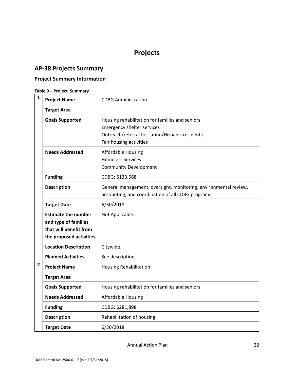# **Projects**

### **AP‐38 Projects Summary**

### **Project Summary Information**

### **Table 9 – Project Summary**

| $\mathbf{1}$ | <b>Project Name</b>                                                                                     | <b>CDBG Administration</b>                                                                                                                                         |
|--------------|---------------------------------------------------------------------------------------------------------|--------------------------------------------------------------------------------------------------------------------------------------------------------------------|
|              | <b>Target Area</b>                                                                                      |                                                                                                                                                                    |
|              | <b>Goals Supported</b>                                                                                  | Housing rehabilitation for families and seniors<br><b>Emergency shelter services</b><br>Outreach/referral for Latino/Hispanic residents<br>Fair housing activities |
|              | <b>Needs Addressed</b>                                                                                  | <b>Affordable Housing</b><br><b>Homeless Services</b><br><b>Community Development</b>                                                                              |
|              | <b>Funding</b>                                                                                          | CDBG: \$133,568                                                                                                                                                    |
|              | <b>Description</b>                                                                                      | General management, oversight, monitoring, environmental review,<br>accounting, and coordination of all CDBG programs                                              |
|              | <b>Target Date</b>                                                                                      | 6/30/2018                                                                                                                                                          |
|              | <b>Estimate the number</b><br>and type of families<br>that will benefit from<br>the proposed activities | Not Applicable.                                                                                                                                                    |
|              | <b>Location Description</b>                                                                             | Citywide.                                                                                                                                                          |
|              | <b>Planned Activities</b>                                                                               | See description.                                                                                                                                                   |
| $\mathbf{2}$ | <b>Project Name</b>                                                                                     | <b>Housing Rehabilitation</b>                                                                                                                                      |
|              | <b>Target Area</b>                                                                                      |                                                                                                                                                                    |
|              | <b>Goals Supported</b>                                                                                  | Housing rehabilitation for families and seniors                                                                                                                    |
|              | <b>Needs Addressed</b>                                                                                  | <b>Affordable Housing</b>                                                                                                                                          |
|              | <b>Funding</b>                                                                                          | CDBG: \$281,898                                                                                                                                                    |
|              | <b>Description</b>                                                                                      | Rehabilitation of housing                                                                                                                                          |
|              | <b>Target Date</b>                                                                                      | 6/30/2018                                                                                                                                                          |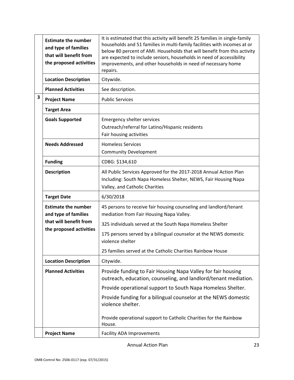|   | <b>Estimate the number</b><br>and type of families<br>that will benefit from<br>the proposed activities | It is estimated that this activity will benefit 25 families in single-family<br>households and 51 families in multi-family facilities with incomes at or<br>below 80 percent of AMI. Households that will benefit from this activity<br>are expected to include seniors, households in need of accessibility<br>improvements, and other households in need of necessary home<br>repairs. |
|---|---------------------------------------------------------------------------------------------------------|------------------------------------------------------------------------------------------------------------------------------------------------------------------------------------------------------------------------------------------------------------------------------------------------------------------------------------------------------------------------------------------|
|   | <b>Location Description</b>                                                                             | Citywide.                                                                                                                                                                                                                                                                                                                                                                                |
|   | <b>Planned Activities</b>                                                                               | See description.                                                                                                                                                                                                                                                                                                                                                                         |
| 3 | <b>Project Name</b>                                                                                     | <b>Public Services</b>                                                                                                                                                                                                                                                                                                                                                                   |
|   | <b>Target Area</b>                                                                                      |                                                                                                                                                                                                                                                                                                                                                                                          |
|   | <b>Goals Supported</b>                                                                                  | <b>Emergency shelter services</b><br>Outreach/referral for Latino/Hispanic residents<br>Fair housing activities                                                                                                                                                                                                                                                                          |
|   | <b>Needs Addressed</b>                                                                                  | <b>Homeless Services</b><br><b>Community Development</b>                                                                                                                                                                                                                                                                                                                                 |
|   | <b>Funding</b>                                                                                          | CDBG: \$134,610                                                                                                                                                                                                                                                                                                                                                                          |
|   | <b>Description</b>                                                                                      | All Public Services Approved for the 2017-2018 Annual Action Plan<br>Including: South Napa Homeless Shelter, NEWS, Fair Housing Napa<br>Valley, and Catholic Charities                                                                                                                                                                                                                   |
|   | <b>Target Date</b>                                                                                      | 6/30/2018                                                                                                                                                                                                                                                                                                                                                                                |
|   | <b>Estimate the number</b><br>and type of families                                                      | 45 persons to receive fair housing counseling and landlord/tenant<br>mediation from Fair Housing Napa Valley.                                                                                                                                                                                                                                                                            |
|   | that will benefit from                                                                                  | 325 individuals served at the South Napa Homeless Shelter                                                                                                                                                                                                                                                                                                                                |
|   | the proposed activities                                                                                 | 175 persons served by a bilingual counselor at the NEWS domestic<br>violence shelter                                                                                                                                                                                                                                                                                                     |
|   |                                                                                                         | 25 families served at the Catholic Charities Rainbow House                                                                                                                                                                                                                                                                                                                               |
|   | <b>Location Description</b>                                                                             | Citywide.                                                                                                                                                                                                                                                                                                                                                                                |
|   | <b>Planned Activities</b>                                                                               | Provide funding to Fair Housing Napa Valley for fair housing<br>outreach, education, counseling, and landlord/tenant mediation.                                                                                                                                                                                                                                                          |
|   |                                                                                                         | Provide operational support to South Napa Homeless Shelter.                                                                                                                                                                                                                                                                                                                              |
|   |                                                                                                         | Provide funding for a bilingual counselor at the NEWS domestic<br>violence shelter.                                                                                                                                                                                                                                                                                                      |
|   |                                                                                                         | Provide operational support to Catholic Charities for the Rainbow<br>House.                                                                                                                                                                                                                                                                                                              |
|   | <b>Project Name</b>                                                                                     | <b>Facility ADA Improvements</b>                                                                                                                                                                                                                                                                                                                                                         |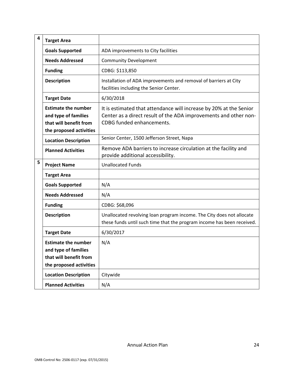| 4 | <b>Target Area</b>                                                                                      |                                                                                                                                                                     |
|---|---------------------------------------------------------------------------------------------------------|---------------------------------------------------------------------------------------------------------------------------------------------------------------------|
|   | <b>Goals Supported</b>                                                                                  | ADA improvements to City facilities                                                                                                                                 |
|   | <b>Needs Addressed</b>                                                                                  | <b>Community Development</b>                                                                                                                                        |
|   | <b>Funding</b>                                                                                          | CDBG: \$113,850                                                                                                                                                     |
|   | <b>Description</b>                                                                                      | Installation of ADA improvements and removal of barriers at City<br>facilities including the Senior Center.                                                         |
|   | <b>Target Date</b>                                                                                      | 6/30/2018                                                                                                                                                           |
|   | <b>Estimate the number</b><br>and type of families<br>that will benefit from<br>the proposed activities | It is estimated that attendance will increase by 20% at the Senior<br>Center as a direct result of the ADA improvements and other non-<br>CDBG funded enhancements. |
|   | <b>Location Description</b>                                                                             | Senior Center, 1500 Jefferson Street, Napa                                                                                                                          |
|   | <b>Planned Activities</b>                                                                               | Remove ADA barriers to increase circulation at the facility and<br>provide additional accessibility.                                                                |
| 5 | <b>Project Name</b>                                                                                     | <b>Unallocated Funds</b>                                                                                                                                            |
|   | <b>Target Area</b>                                                                                      |                                                                                                                                                                     |
|   | <b>Goals Supported</b>                                                                                  | N/A                                                                                                                                                                 |
|   | <b>Needs Addressed</b>                                                                                  | N/A                                                                                                                                                                 |
|   | <b>Funding</b>                                                                                          | CDBG: \$68,096                                                                                                                                                      |
|   | <b>Description</b>                                                                                      | Unallocated revolving loan program income. The City does not allocate<br>these funds until such time that the program income has been received.                     |
|   | <b>Target Date</b>                                                                                      | 6/30/2017                                                                                                                                                           |
|   | <b>Estimate the number</b><br>and type of families<br>that will benefit from<br>the proposed activities | N/A                                                                                                                                                                 |
|   | <b>Location Description</b>                                                                             | Citywide                                                                                                                                                            |
|   | <b>Planned Activities</b>                                                                               | N/A                                                                                                                                                                 |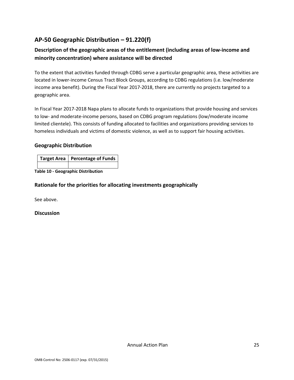### **AP‐50 Geographic Distribution – 91.220(f)**

### **Description of the geographic areas of the entitlement (including areas of low‐income and minority concentration) where assistance will be directed**

To the extent that activities funded through CDBG serve a particular geographic area, these activities are located in lower‐income Census Tract Block Groups, according to CDBG regulations (i.e. low/moderate income area benefit). During the Fiscal Year 2017‐2018, there are currently no projects targeted to a geographic area.

In Fiscal Year 2017‐2018 Napa plans to allocate funds to organizations that provide housing and services to low- and moderate-income persons, based on CDBG program regulations (low/moderate income limited clientele). This consists of funding allocated to facilities and organizations providing services to homeless individuals and victims of domestic violence, as well as to support fair housing activities.

#### **Geographic Distribution**

| Target Area   Percentage of Funds |
|-----------------------------------|
|                                   |

**Table 10 ‐ Geographic Distribution** 

### **Rationale for the priorities for allocating investments geographically**

See above.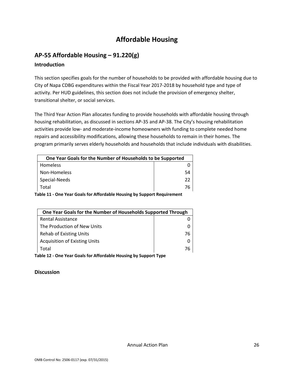# **Affordable Housing**

# **AP‐55 Affordable Housing – 91.220(g)**

### **Introduction**

This section specifies goals for the number of households to be provided with affordable housing due to City of Napa CDBG expenditures within the Fiscal Year 2017‐2018 by household type and type of activity. Per HUD guidelines, this section does not include the provision of emergency shelter, transitional shelter, or social services.

The Third Year Action Plan allocates funding to provide households with affordable housing through housing rehabilitation, as discussed in sections AP‐35 and AP‐38. The City's housing rehabilitation activities provide low- and moderate-income homeowners with funding to complete needed home repairs and accessibility modifications, allowing these households to remain in their homes. The program primarily serves elderly households and households that include individuals with disabilities.

| One Year Goals for the Number of Households to be Supported |    |
|-------------------------------------------------------------|----|
| Homeless                                                    |    |
| Non-Homeless                                                | 54 |
| Special-Needs                                               | 22 |
| Total                                                       | 76 |

**Table 11 ‐ One Year Goals for Affordable Housing by Support Requirement** 

| One Year Goals for the Number of Households Supported Through |    |
|---------------------------------------------------------------|----|
| <b>Rental Assistance</b>                                      |    |
| The Production of New Units                                   |    |
| Rehab of Existing Units                                       | 76 |
| <b>Acquisition of Existing Units</b>                          |    |
| Total                                                         | 76 |

**Table 12 ‐ One Year Goals for Affordable Housing by Support Type**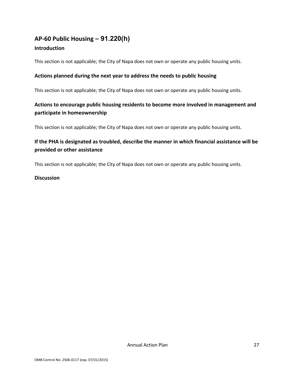# **AP‐60 Public Housing** *–* **91.220(h)**

### **Introduction**

This section is not applicable; the City of Napa does not own or operate any public housing units.

#### **Actions planned during the next year to address the needs to public housing**

This section is not applicable; the City of Napa does not own or operate any public housing units.

### **Actions to encourage public housing residents to become more involved in management and participate in homeownership**

This section is not applicable; the City of Napa does not own or operate any public housing units.

### **If the PHA is designated as troubled, describe the manner in which financial assistance will be provided or other assistance**

This section is not applicable; the City of Napa does not own or operate any public housing units.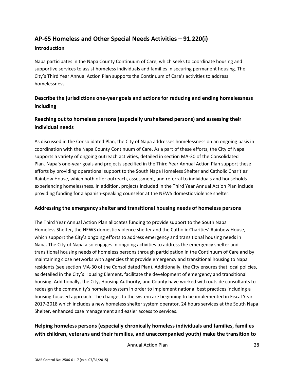### **AP‐65 Homeless and Other Special Needs Activities – 91.220(i) Introduction**

Napa participates in the Napa County Continuum of Care, which seeks to coordinate housing and supportive services to assist homeless individuals and families in securing permanent housing. The City's Third Year Annual Action Plan supports the Continuum of Care's activities to address homelessness.

### **Describe the jurisdictions one‐year goals and actions for reducing and ending homelessness including**

### **Reaching out to homeless persons (especially unsheltered persons) and assessing their individual needs**

As discussed in the Consolidated Plan, the City of Napa addresses homelessness on an ongoing basis in coordination with the Napa County Continuum of Care. As a part of these efforts, the City of Napa supports a variety of ongoing outreach activities, detailed in section MA‐30 of the Consolidated Plan. Napa's one‐year goals and projects specified in the Third Year Annual Action Plan support these efforts by providing operational support to the South Napa Homeless Shelter and Catholic Charities' Rainbow House, which both offer outreach, assessment, and referral to individuals and households experiencing homelessness. In addition, projects included in the Third Year Annual Action Plan include providing funding for a Spanish‐speaking counselor at the NEWS domestic violence shelter.

### **Addressing the emergency shelter and transitional housing needs of homeless persons**

The Third Year Annual Action Plan allocates funding to provide support to the South Napa Homeless Shelter, the NEWS domestic violence shelter and the Catholic Charities' Rainbow House, which support the City's ongoing efforts to address emergency and transitional housing needs in Napa. The City of Napa also engages in ongoing activities to address the emergency shelter and transitional housing needs of homeless persons through participation in the Continuum of Care and by maintaining close networks with agencies that provide emergency and transitional housing to Napa residents (see section MA‐30 of the Consolidated Plan). Additionally, the City ensures that local policies, as detailed in the City's Housing Element, facilitate the development of emergency and transitional housing. Additionally, the City, Housing Authority, and County have worked with outside consultants to redesign the community's homeless system in order to implement national best practices including a housing-focused approach. The changes to the system are beginning to be implemented in Fiscal Year 2017‐2018 which includes a new homeless shelter system operator, 24 hours services at the South Napa Shelter, enhanced case management and easier access to services.

### **Helping homeless persons (especially chronically homeless individuals and families, families with children, veterans and their families, and unaccompanied youth) make the transition to**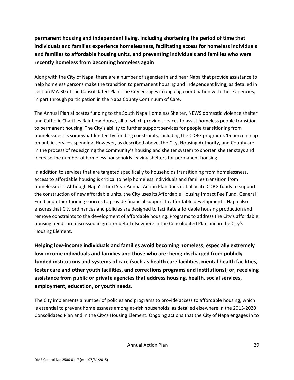**permanent housing and independent living, including shortening the period of time that individuals and families experience homelessness, facilitating access for homeless individuals and families to affordable housing units, and preventing individuals and families who were recently homeless from becoming homeless again** 

Along with the City of Napa, there are a number of agencies in and near Napa that provide assistance to help homeless persons make the transition to permanent housing and independent living, as detailed in section MA-30 of the Consolidated Plan. The City engages in ongoing coordination with these agencies, in part through participation in the Napa County Continuum of Care.

The Annual Plan allocates funding to the South Napa Homeless Shelter, NEWS domestic violence shelter and Catholic Charities Rainbow House, all of which provide services to assist homeless people transition to permanent housing. The City's ability to further support services for people transitioning from homelessness is somewhat limited by funding constraints, including the CDBG program's 15 percent cap on public services spending. However, as described above, the City, Housing Authority, and County are in the process of redesigning the community's housing and shelter system to shorten shelter stays and increase the number of homeless households leaving shelters for permanent housing.

In addition to services that are targeted specifically to households transitioning from homelessness, access to affordable housing is critical to help homeless individuals and families transition from homelessness. Although Napa's Third Year Annual Action Plan does not allocate CDBG funds to support the construction of new affordable units, the City uses its Affordable Housing Impact Fee Fund, General Fund and other funding sources to provide financial support to affordable developments. Napa also ensures that City ordinances and policies are designed to facilitate affordable housing production and remove constraints to the development of affordable housing. Programs to address the City's affordable housing needs are discussed in greater detail elsewhere in the Consolidated Plan and in the City's Housing Element.

**Helping low‐income individuals and families avoid becoming homeless, especially extremely low‐income individuals and families and those who are: being discharged from publicly funded institutions and systems of care (such as health care facilities, mental health facilities, foster care and other youth facilities, and corrections programs and institutions); or, receiving assistance from public or private agencies that address housing, health, social services, employment, education, or youth needs.** 

The City implements a number of policies and programs to provide access to affordable housing, which is essential to prevent homelessness among at-risk households, as detailed elsewhere in the 2015-2020 Consolidated Plan and in the City's Housing Element. Ongoing actions that the City of Napa engages in to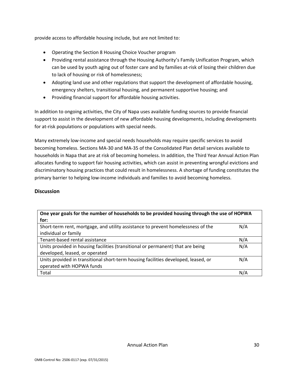provide access to affordable housing include, but are not limited to:

- Operating the Section 8 Housing Choice Voucher program
- Providing rental assistance through the Housing Authority's Family Unification Program, which can be used by youth aging out of foster care and by families at-risk of losing their children due to lack of housing or risk of homelessness;
- Adopting land use and other regulations that support the development of affordable housing, emergency shelters, transitional housing, and permanent supportive housing; and
- Providing financial support for affordable housing activities.

In addition to ongoing activities, the City of Napa uses available funding sources to provide financial support to assist in the development of new affordable housing developments, including developments for at-risk populations or populations with special needs.

Many extremely low‐income and special needs households may require specific services to avoid becoming homeless. Sections MA‐30 and MA‐35 of the Consolidated Plan detail services available to households in Napa that are at risk of becoming homeless. In addition, the Third Year Annual Action Plan allocates funding to support fair housing activities, which can assist in preventing wrongful evictions and discriminatory housing practices that could result in homelessness. A shortage of funding constitutes the primary barrier to helping low‐income individuals and families to avoid becoming homeless.

| One year goals for the number of households to be provided housing through the use of HOPWA<br>for:               |     |
|-------------------------------------------------------------------------------------------------------------------|-----|
| Short-term rent, mortgage, and utility assistance to prevent homelessness of the<br>individual or family          | N/A |
| Tenant-based rental assistance                                                                                    | N/A |
| Units provided in housing facilities (transitional or permanent) that are being<br>developed, leased, or operated | N/A |
| Units provided in transitional short-term housing facilities developed, leased, or<br>operated with HOPWA funds   | N/A |
| Total                                                                                                             | N/A |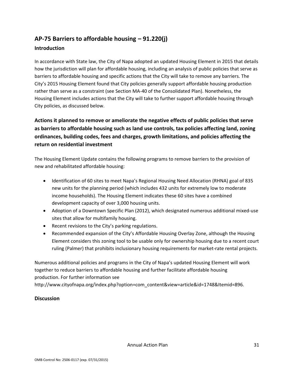### **AP‐75 Barriers to affordable housing – 91.220(j)**

#### **Introduction**

In accordance with State law, the City of Napa adopted an updated Housing Element in 2015 that details how the jurisdiction will plan for affordable housing, including an analysis of public policies that serve as barriers to affordable housing and specific actions that the City will take to remove any barriers. The City's 2015 Housing Element found that City policies generally support affordable housing production rather than serve as a constraint (see Section MA‐40 of the Consolidated Plan). Nonetheless, the Housing Element includes actions that the City will take to further support affordable housing through City policies, as discussed below.

**Actions it planned to remove or ameliorate the negative effects of public policies that serve as barriers to affordable housing such as land use controls, tax policies affecting land, zoning ordinances, building codes, fees and charges, growth limitations, and policies affecting the return on residential investment** 

The Housing Element Update contains the following programs to remove barriers to the provision of new and rehabilitated affordable housing:

- Identification of 60 sites to meet Napa's Regional Housing Need Allocation (RHNA) goal of 835 new units for the planning period (which includes 432 units for extremely low to moderate income households). The Housing Element indicates these 60 sites have a combined development capacity of over 3,000 housing units.
- Adoption of a Downtown Specific Plan (2012), which designated numerous additional mixed-use sites that allow for multifamily housing.
- Recent revisions to the City's parking regulations.
- Recommended expansion of the City's Affordable Housing Overlay Zone, although the Housing Element considers this zoning tool to be usable only for ownership housing due to a recent court ruling (Palmer) that prohibits inclusionary housing requirements for market-rate rental projects.

Numerous additional policies and programs in the City of Napa's updated Housing Element will work together to reduce barriers to affordable housing and further facilitate affordable housing production. For further information see http://www.cityofnapa.org/index.php?option=com\_content&view=article&id=1748&Itemid=896.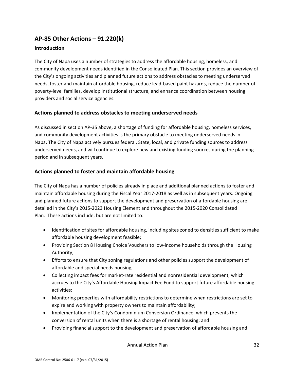# **AP‐85 Other Actions – 91.220(k)**

#### **Introduction**

The City of Napa uses a number of strategies to address the affordable housing, homeless, and community development needs identified in the Consolidated Plan. This section provides an overview of the City's ongoing activities and planned future actions to address obstacles to meeting underserved needs, foster and maintain affordable housing, reduce lead‐based paint hazards, reduce the number of poverty‐level families, develop institutional structure, and enhance coordination between housing providers and social service agencies.

#### **Actions planned to address obstacles to meeting underserved needs**

As discussed in section AP‐35 above, a shortage of funding for affordable housing, homeless services, and community development activities is the primary obstacle to meeting underserved needs in Napa. The City of Napa actively pursues federal, State, local, and private funding sources to address underserved needs, and will continue to explore new and existing funding sources during the planning period and in subsequent years.

### **Actions planned to foster and maintain affordable housing**

The City of Napa has a number of policies already in place and additional planned actions to foster and maintain affordable housing during the Fiscal Year 2017‐2018 as well as in subsequent years. Ongoing and planned future actions to support the development and preservation of affordable housing are detailed in the City's 2015‐2023 Housing Element and throughout the 2015‐2020 Consolidated Plan. These actions include, but are not limited to:

- Identification of sites for affordable housing, including sites zoned to densities sufficient to make affordable housing development feasible;
- Providing Section 8 Housing Choice Vouchers to low-income households through the Housing Authority;
- Efforts to ensure that City zoning regulations and other policies support the development of affordable and special needs housing;
- Collecting impact fees for market-rate residential and nonresidential development, which accrues to the City's Affordable Housing Impact Fee Fund to support future affordable housing activities;
- Monitoring properties with affordability restrictions to determine when restrictions are set to expire and working with property owners to maintain affordability;
- Implementation of the City's Condominium Conversion Ordinance, which prevents the conversion of rental units when there is a shortage of rental housing; and
- Providing financial support to the development and preservation of affordable housing and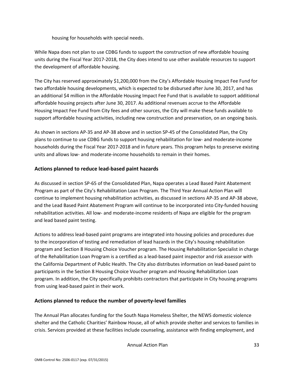housing for households with special needs.

While Napa does not plan to use CDBG funds to support the construction of new affordable housing units during the Fiscal Year 2017‐2018, the City does intend to use other available resources to support the development of affordable housing.

The City has reserved approximately \$1,200,000 from the City's Affordable Housing Impact Fee Fund for two affordable housing developments, which is expected to be disbursed after June 30, 2017, and has an additional \$4 million in the Affordable Housing Impact Fee Fund that is available to support additional affordable housing projects after June 30, 2017. As additional revenues accrue to the Affordable Housing Impact Fee Fund from City fees and other sources, the City will make these funds available to support affordable housing activities, including new construction and preservation, on an ongoing basis.

As shown in sections AP‐35 and AP‐38 above and in section SP‐45 of the Consolidated Plan, the City plans to continue to use CDBG funds to support housing rehabilitation for low‐ and moderate‐income households during the Fiscal Year 2017‐2018 and in future years. This program helps to preserve existing units and allows low‐ and moderate‐income households to remain in their homes.

#### **Actions planned to reduce lead‐based paint hazards**

As discussed in section SP‐65 of the Consolidated Plan, Napa operates a Lead Based Paint Abatement Program as part of the City's Rehabilitation Loan Program. The Third Year Annual Action Plan will continue to implement housing rehabilitation activities, as discussed in sections AP‐35 and AP‐38 above, and the Lead Based Paint Abatement Program will continue to be incorporated into City-funded housing rehabilitation activities. All low‐ and moderate‐income residents of Napa are eligible for the program and lead based paint testing.

Actions to address lead‐based paint programs are integrated into housing policies and procedures due to the incorporation of testing and remediation of lead hazards in the City's housing rehabilitation program and Section 8 Housing Choice Voucher program. The Housing Rehabilitation Specialist in charge of the Rehabilitation Loan Program is a certified as a lead‐based paint inspector and risk assessor with the California Department of Public Health. The City also distributes information on lead‐based paint to participants in the Section 8 Housing Choice Voucher program and Housing Rehabilitation Loan program. In addition, the City specifically prohibits contractors that participate in City housing programs from using lead‐based paint in their work.

#### **Actions planned to reduce the number of poverty‐level families**

The Annual Plan allocates funding for the South Napa Homeless Shelter, the NEWS domestic violence shelter and the Catholic Charities' Rainbow House, all of which provide shelter and services to families in crisis. Services provided at these facilities include counseling, assistance with finding employment, and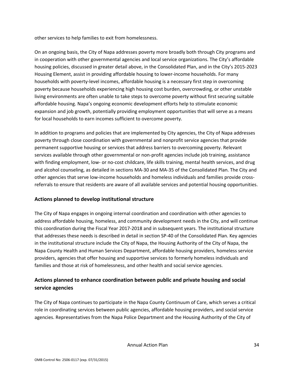other services to help families to exit from homelessness.

On an ongoing basis, the City of Napa addresses poverty more broadly both through City programs and in cooperation with other governmental agencies and local service organizations. The City's affordable housing policies, discussed in greater detail above, in the Consolidated Plan, and in the City's 2015‐2023 Housing Element, assist in providing affordable housing to lower‐income households. For many households with poverty‐level incomes, affordable housing is a necessary first step in overcoming poverty because households experiencing high housing cost burden, overcrowding, or other unstable living environments are often unable to take steps to overcome poverty without first securing suitable affordable housing. Napa's ongoing economic development efforts help to stimulate economic expansion and job growth, potentially providing employment opportunities that will serve as a means for local households to earn incomes sufficient to overcome poverty.

In addition to programs and policies that are implemented by City agencies, the City of Napa addresses poverty through close coordination with governmental and nonprofit service agencies that provide permanent supportive housing or services that address barriers to overcoming poverty. Relevant services available through other governmental or non‐profit agencies include job training, assistance with finding employment, low- or no-cost childcare, life skills training, mental health services, and drug and alcohol counseling, as detailed in sections MA‐30 and MA‐35 of the Consolidated Plan. The City and other agencies that serve low‐income households and homeless individuals and families provide cross‐ referrals to ensure that residents are aware of all available services and potential housing opportunities.

#### **Actions planned to develop institutional structure**

The City of Napa engages in ongoing internal coordination and coordination with other agencies to address affordable housing, homeless, and community development needs in the City, and will continue this coordination during the Fiscal Year 2017‐2018 and in subsequent years. The institutional structure that addresses these needs is described in detail in section SP‐40 of the Consolidated Plan. Key agencies in the institutional structure include the City of Napa, the Housing Authority of the City of Napa, the Napa County Health and Human Services Department, affordable housing providers, homeless service providers, agencies that offer housing and supportive services to formerly homeless individuals and families and those at risk of homelessness, and other health and social service agencies.

### **Actions planned to enhance coordination between public and private housing and social service agencies**

The City of Napa continues to participate in the Napa County Continuum of Care, which serves a critical role in coordinating services between public agencies, affordable housing providers, and social service agencies. Representatives from the Napa Police Department and the Housing Authority of the City of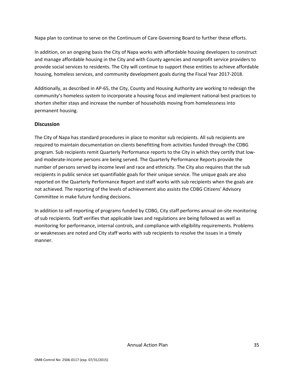Napa plan to continue to serve on the Continuum of Care Governing Board to further these efforts.

In addition, on an ongoing basis the City of Napa works with affordable housing developers to construct and manage affordable housing in the City and with County agencies and nonprofit service providers to provide social services to residents. The City will continue to support these entities to achieve affordable housing, homeless services, and community development goals during the Fiscal Year 2017‐2018.

Additionally, as described in AP‐65, the City, County and Housing Authority are working to redesign the community's homeless system to incorporate a housing focus and implement national best practices to shorten shelter stays and increase the number of households moving from homelessness into permanent housing.

#### **Discussion**

The City of Napa has standard procedures in place to monitor sub recipients. All sub recipients are required to maintain documentation on clients benefitting from activities funded through the CDBG program. Sub recipients remit Quarterly Performance reports to the City in which they certify that low‐ and moderate‐income persons are being served. The Quarterly Performance Reports provide the number of persons served by income level and race and ethnicity. The City also requires that the sub recipients in public service set quantifiable goals for their unique service. The unique goals are also reported on the Quarterly Performance Report and staff works with sub recipients when the goals are not achieved. The reporting of the levels of achievement also assists the CDBG Citizens' Advisory Committee in make future funding decisions.

In addition to self‐reporting of programs funded by CDBG, City staff performs annual on‐site monitoring of sub recipients. Staff verifies that applicable laws and regulations are being followed as well as monitoring for performance, internal controls, and compliance with eligibility requirements. Problems or weaknesses are noted and City staff works with sub recipients to resolve the issues in a timely manner.